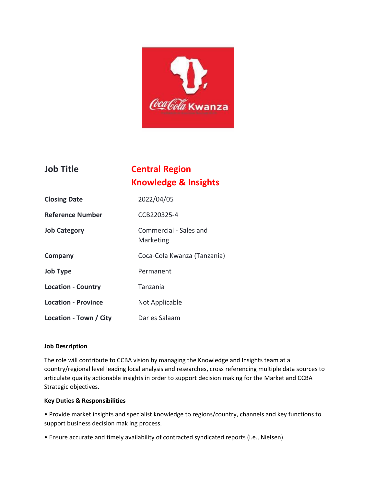

## **Job Title Central Region Knowledge & Insights**

| <b>Closing Date</b>        | 2022/04/05                          |
|----------------------------|-------------------------------------|
| <b>Reference Number</b>    | CCB220325-4                         |
| <b>Job Category</b>        | Commercial - Sales and<br>Marketing |
| Company                    | Coca-Cola Kwanza (Tanzania)         |
| Job Type                   | Permanent                           |
| <b>Location - Country</b>  | Tanzania                            |
| <b>Location - Province</b> | Not Applicable                      |
| Location - Town / City     | Dar es Salaam                       |

### **Job Description**

The role will contribute to CCBA vision by managing the Knowledge and Insights team at a country/regional level leading local analysis and researches, cross referencing multiple data sources to articulate quality actionable insights in order to support decision making for the Market and CCBA Strategic objectives.

#### **Key Duties & Responsibilities**

• Provide market insights and specialist knowledge to regions/country, channels and key functions to support business decision mak ing process.

• Ensure accurate and timely availability of contracted syndicated reports (i.e., Nielsen).